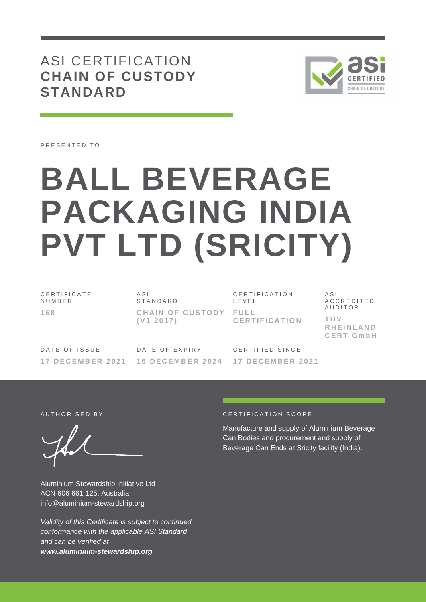# ASI CERTIFICATION **CHAIN OF CUSTODY STANDARD**



PRESENTED TO

# **BALL BEVERAGE PACKAGING INDIA PVT LTD (SRICITY)**

C E R T I F I C A T E N U M B E R **1 6 8**

A S I **STANDARD CHAIN OF CUSTODY FULL ( V1 2 0 1 7 )**

CERTIFICATION L E V E L **C E R T I F I C A T I O N**

A S I A C C R E D I T E D **AUDITOR T Ü V R H E I N L A N D C E R T G m b H**

DATE OF ISSUE **1 7 D E C E M B E R 2 0 2 1**

DATE OF EXPIRY **1 6 D E C E M B E R 2 0 2 4**

C F R T I F I F D S I N C F **1 7 D E C E M B E R 2 0 2 1**

Aluminium Stewardship Initiative Ltd ACN 606 661 125, Australia info@aluminium-stewardship.org

*Validity of this Certificate is subject to continued conformance with the applicable ASI Standard and can be verified at www.aluminium-stewardship.org*

#### A UTHORISED BY CERTIFICATION SCOPE

Manufacture and supply of Aluminium Beverage Can Bodies and procurement and supply of Beverage Can Ends at Sricity facility (India).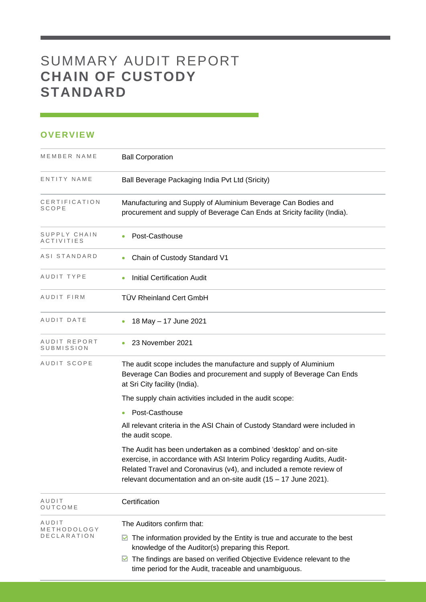# SUMMARY AUDIT REPORT **CHAIN OF CUSTODY STANDARD**

## **OVERVIEW**

| MEMBER NAME                       | <b>Ball Corporation</b>                                                                                                                                                                                                                                                                   |
|-----------------------------------|-------------------------------------------------------------------------------------------------------------------------------------------------------------------------------------------------------------------------------------------------------------------------------------------|
| ENTITY NAME                       | Ball Beverage Packaging India Pvt Ltd (Sricity)                                                                                                                                                                                                                                           |
| CERTIFICATION<br>SCOPE            | Manufacturing and Supply of Aluminium Beverage Can Bodies and<br>procurement and supply of Beverage Can Ends at Sricity facility (India).                                                                                                                                                 |
| SUPPLY CHAIN<br>ACTIVITIES        | Post-Casthouse                                                                                                                                                                                                                                                                            |
| ASI STANDARD                      | Chain of Custody Standard V1<br>$\bullet$                                                                                                                                                                                                                                                 |
| AUDIT TYPE                        | <b>Initial Certification Audit</b>                                                                                                                                                                                                                                                        |
| AUDIT FIRM                        | <b>TÜV Rheinland Cert GmbH</b>                                                                                                                                                                                                                                                            |
| AUDIT DATE                        | 18 May - 17 June 2021                                                                                                                                                                                                                                                                     |
| AUDIT REPORT<br>SUBMISSION        | 23 November 2021<br>۰                                                                                                                                                                                                                                                                     |
| AUDIT SCOPE                       | The audit scope includes the manufacture and supply of Aluminium<br>Beverage Can Bodies and procurement and supply of Beverage Can Ends<br>at Sri City facility (India).                                                                                                                  |
|                                   | The supply chain activities included in the audit scope:                                                                                                                                                                                                                                  |
|                                   | Post-Casthouse<br>$\bullet$                                                                                                                                                                                                                                                               |
|                                   | All relevant criteria in the ASI Chain of Custody Standard were included in<br>the audit scope.                                                                                                                                                                                           |
|                                   | The Audit has been undertaken as a combined 'desktop' and on-site<br>exercise, in accordance with ASI Interim Policy regarding Audits, Audit-<br>Related Travel and Coronavirus (v4), and included a remote review of<br>relevant documentation and an on-site audit (15 - 17 June 2021). |
| AUDIT<br>OUTCOME                  | Certification                                                                                                                                                                                                                                                                             |
| AUDIT                             | The Auditors confirm that:                                                                                                                                                                                                                                                                |
| METHODOLOGY<br><b>DECLARATION</b> | The information provided by the Entity is true and accurate to the best<br>M<br>knowledge of the Auditor(s) preparing this Report.                                                                                                                                                        |
|                                   | The findings are based on verified Objective Evidence relevant to the<br>M<br>time period for the Audit, traceable and unambiguous.                                                                                                                                                       |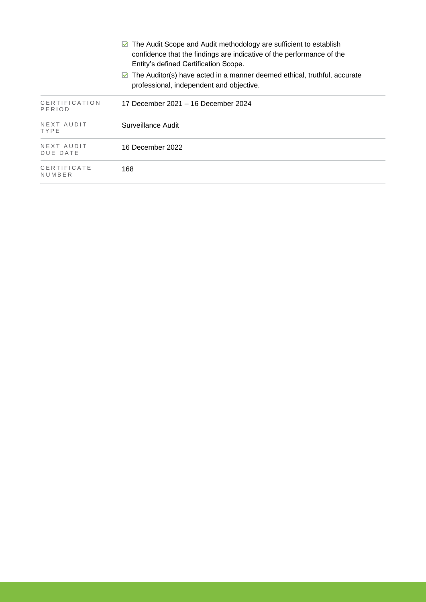|                         | The Audit Scope and Audit methodology are sufficient to establish<br>M<br>confidence that the findings are indicative of the performance of the<br>Entity's defined Certification Scope. |
|-------------------------|------------------------------------------------------------------------------------------------------------------------------------------------------------------------------------------|
|                         | $\triangleright$ The Auditor(s) have acted in a manner deemed ethical, truthful, accurate<br>professional, independent and objective.                                                    |
| CERTIFICATION<br>PERIOD | 17 December 2021 – 16 December 2024                                                                                                                                                      |
| NEXT AUDIT<br>TYPE      | Surveillance Audit                                                                                                                                                                       |
| NEXT AUDIT<br>DUE DATE  | 16 December 2022                                                                                                                                                                         |
| CERTIFICATE<br>NUMBER   | 168                                                                                                                                                                                      |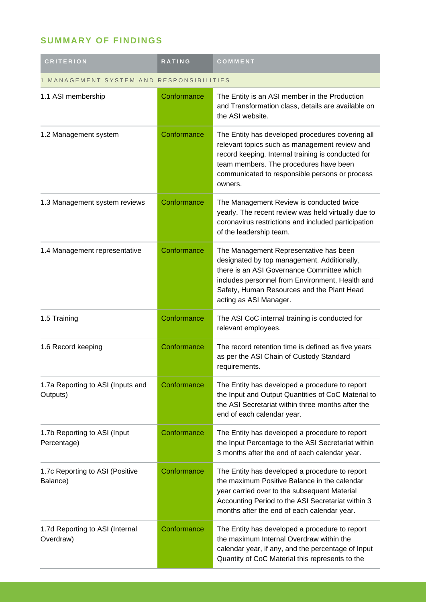## **SUMMARY OF FINDINGS**

| <b>CRITERION</b>                              | <b>RATING</b> | COMMENT                                                                                                                                                                                                                                                        |  |
|-----------------------------------------------|---------------|----------------------------------------------------------------------------------------------------------------------------------------------------------------------------------------------------------------------------------------------------------------|--|
| MANAGEMENT SYSTEM AND RESPONSIBILITIES        |               |                                                                                                                                                                                                                                                                |  |
| 1.1 ASI membership                            | Conformance   | The Entity is an ASI member in the Production<br>and Transformation class, details are available on<br>the ASI website.                                                                                                                                        |  |
| 1.2 Management system                         | Conformance   | The Entity has developed procedures covering all<br>relevant topics such as management review and<br>record keeping. Internal training is conducted for<br>team members. The procedures have been<br>communicated to responsible persons or process<br>owners. |  |
| 1.3 Management system reviews                 | Conformance   | The Management Review is conducted twice<br>yearly. The recent review was held virtually due to<br>coronavirus restrictions and included participation<br>of the leadership team.                                                                              |  |
| 1.4 Management representative                 | Conformance   | The Management Representative has been<br>designated by top management. Additionally,<br>there is an ASI Governance Committee which<br>includes personnel from Environment, Health and<br>Safety, Human Resources and the Plant Head<br>acting as ASI Manager. |  |
| 1.5 Training                                  | Conformance   | The ASI CoC internal training is conducted for<br>relevant employees.                                                                                                                                                                                          |  |
| 1.6 Record keeping                            | Conformance   | The record retention time is defined as five years<br>as per the ASI Chain of Custody Standard<br>requirements.                                                                                                                                                |  |
| 1.7a Reporting to ASI (Inputs and<br>Outputs) | Conformance   | The Entity has developed a procedure to report<br>the Input and Output Quantities of CoC Material to<br>the ASI Secretariat within three months after the<br>end of each calendar year.                                                                        |  |
| 1.7b Reporting to ASI (Input<br>Percentage)   | Conformance   | The Entity has developed a procedure to report<br>the Input Percentage to the ASI Secretariat within<br>3 months after the end of each calendar year.                                                                                                          |  |
| 1.7c Reporting to ASI (Positive<br>Balance)   | Conformance   | The Entity has developed a procedure to report<br>the maximum Positive Balance in the calendar<br>year carried over to the subsequent Material<br>Accounting Period to the ASI Secretariat within 3<br>months after the end of each calendar year.             |  |
| 1.7d Reporting to ASI (Internal<br>Overdraw)  | Conformance   | The Entity has developed a procedure to report<br>the maximum Internal Overdraw within the<br>calendar year, if any, and the percentage of Input<br>Quantity of CoC Material this represents to the                                                            |  |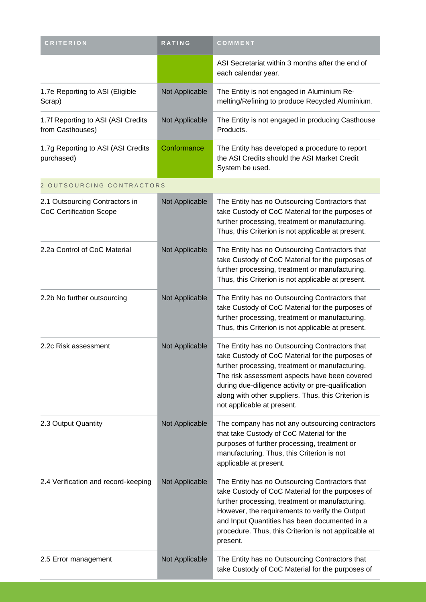| <b>CRITERION</b>                                                 | <b>RATING</b>  | COMMENT                                                                                                                                                                                                                                                                                                                                           |
|------------------------------------------------------------------|----------------|---------------------------------------------------------------------------------------------------------------------------------------------------------------------------------------------------------------------------------------------------------------------------------------------------------------------------------------------------|
|                                                                  |                | ASI Secretariat within 3 months after the end of<br>each calendar year.                                                                                                                                                                                                                                                                           |
| 1.7e Reporting to ASI (Eligible<br>Scrap)                        | Not Applicable | The Entity is not engaged in Aluminium Re-<br>melting/Refining to produce Recycled Aluminium.                                                                                                                                                                                                                                                     |
| 1.7f Reporting to ASI (ASI Credits<br>from Casthouses)           | Not Applicable | The Entity is not engaged in producing Casthouse<br>Products.                                                                                                                                                                                                                                                                                     |
| 1.7g Reporting to ASI (ASI Credits<br>purchased)                 | Conformance    | The Entity has developed a procedure to report<br>the ASI Credits should the ASI Market Credit<br>System be used.                                                                                                                                                                                                                                 |
| 2 OUTSOURCING CONTRACTORS                                        |                |                                                                                                                                                                                                                                                                                                                                                   |
| 2.1 Outsourcing Contractors in<br><b>CoC Certification Scope</b> | Not Applicable | The Entity has no Outsourcing Contractors that<br>take Custody of CoC Material for the purposes of<br>further processing, treatment or manufacturing.<br>Thus, this Criterion is not applicable at present.                                                                                                                                       |
| 2.2a Control of CoC Material                                     | Not Applicable | The Entity has no Outsourcing Contractors that<br>take Custody of CoC Material for the purposes of<br>further processing, treatment or manufacturing.<br>Thus, this Criterion is not applicable at present.                                                                                                                                       |
| 2.2b No further outsourcing                                      | Not Applicable | The Entity has no Outsourcing Contractors that<br>take Custody of CoC Material for the purposes of<br>further processing, treatment or manufacturing.<br>Thus, this Criterion is not applicable at present.                                                                                                                                       |
| 2.2c Risk assessment                                             | Not Applicable | The Entity has no Outsourcing Contractors that<br>take Custody of CoC Material for the purposes of<br>further processing, treatment or manufacturing.<br>The risk assessment aspects have been covered<br>during due-diligence activity or pre-qualification<br>along with other suppliers. Thus, this Criterion is<br>not applicable at present. |
| 2.3 Output Quantity                                              | Not Applicable | The company has not any outsourcing contractors<br>that take Custody of CoC Material for the<br>purposes of further processing, treatment or<br>manufacturing. Thus, this Criterion is not<br>applicable at present.                                                                                                                              |
| 2.4 Verification and record-keeping                              | Not Applicable | The Entity has no Outsourcing Contractors that<br>take Custody of CoC Material for the purposes of<br>further processing, treatment or manufacturing.<br>However, the requirements to verify the Output<br>and Input Quantities has been documented in a<br>procedure. Thus, this Criterion is not applicable at<br>present.                      |
| 2.5 Error management                                             | Not Applicable | The Entity has no Outsourcing Contractors that<br>take Custody of CoC Material for the purposes of                                                                                                                                                                                                                                                |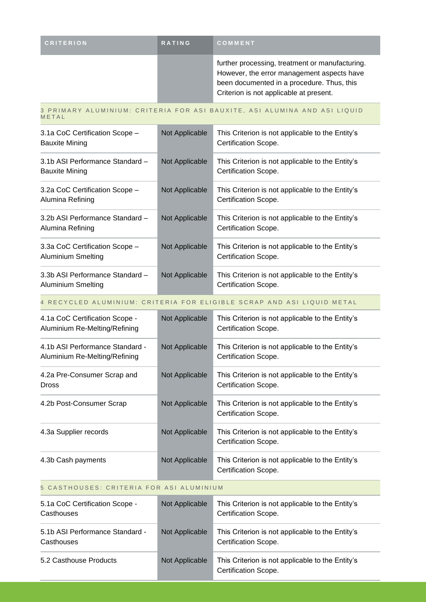| <b>CRITERION</b> | <b>RATING</b> | <b>COMMENT</b>                                                                                                                                                                         |
|------------------|---------------|----------------------------------------------------------------------------------------------------------------------------------------------------------------------------------------|
|                  |               | further processing, treatment or manufacturing.<br>However, the error management aspects have<br>been documented in a procedure. Thus, this<br>Criterion is not applicable at present. |

#### 3 PRIMARY ALUMINIUM: CRITERIA FOR ASI BAUXITE, ASI ALUMINA AND ASI LIQUID **METAL**

| 3.1a CoC Certification Scope -<br><b>Bauxite Mining</b>  | Not Applicable | This Criterion is not applicable to the Entity's<br>Certification Scope. |
|----------------------------------------------------------|----------------|--------------------------------------------------------------------------|
| 3.1b ASI Performance Standard -<br><b>Bauxite Mining</b> | Not Applicable | This Criterion is not applicable to the Entity's<br>Certification Scope. |
| 3.2a CoC Certification Scope -<br>Alumina Refining       | Not Applicable | This Criterion is not applicable to the Entity's<br>Certification Scope. |
| 3.2b ASI Performance Standard -<br>Alumina Refining      | Not Applicable | This Criterion is not applicable to the Entity's<br>Certification Scope. |
| 3.3a CoC Certification Scope -<br>Aluminium Smelting     | Not Applicable | This Criterion is not applicable to the Entity's<br>Certification Scope. |
| 3.3b ASI Performance Standard -<br>Aluminium Smelting    | Not Applicable | This Criterion is not applicable to the Entity's<br>Certification Scope. |

### 4 RECYCLED ALUMINIUM: CRITERIA FOR ELIGIBLE SCRAP AND ASI LIQUID METAL

| 4.1a CoC Certification Scope -<br>Aluminium Re-Melting/Refining  | Not Applicable | This Criterion is not applicable to the Entity's<br>Certification Scope. |
|------------------------------------------------------------------|----------------|--------------------------------------------------------------------------|
| 4.1b ASI Performance Standard -<br>Aluminium Re-Melting/Refining | Not Applicable | This Criterion is not applicable to the Entity's<br>Certification Scope. |
| 4.2a Pre-Consumer Scrap and<br><b>Dross</b>                      | Not Applicable | This Criterion is not applicable to the Entity's<br>Certification Scope. |
| 4.2b Post-Consumer Scrap                                         | Not Applicable | This Criterion is not applicable to the Entity's<br>Certification Scope. |
| 4.3a Supplier records                                            | Not Applicable | This Criterion is not applicable to the Entity's<br>Certification Scope. |
| 4.3b Cash payments                                               | Not Applicable | This Criterion is not applicable to the Entity's<br>Certification Scope. |

#### 5 CASTHOUSES: CRITERIA FOR ASI ALUMINIUM

| 5.1a CoC Certification Scope -<br>Casthouses  | Not Applicable | This Criterion is not applicable to the Entity's<br>Certification Scope. |
|-----------------------------------------------|----------------|--------------------------------------------------------------------------|
| 5.1b ASI Performance Standard -<br>Casthouses | Not Applicable | This Criterion is not applicable to the Entity's<br>Certification Scope. |
| 5.2 Casthouse Products                        | Not Applicable | This Criterion is not applicable to the Entity's<br>Certification Scope. |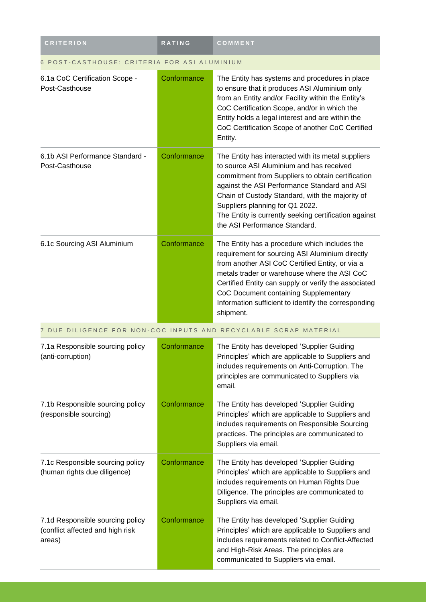| <b>CRITERION</b>                                                               | <b>RATING</b> | COMMENT                                                                                                                                                                                                                                                                                                                                                                             |  |
|--------------------------------------------------------------------------------|---------------|-------------------------------------------------------------------------------------------------------------------------------------------------------------------------------------------------------------------------------------------------------------------------------------------------------------------------------------------------------------------------------------|--|
| POST-CASTHOUSE: CRITERIA FOR ASI ALUMINIUM                                     |               |                                                                                                                                                                                                                                                                                                                                                                                     |  |
| 6.1a CoC Certification Scope -<br>Post-Casthouse                               | Conformance   | The Entity has systems and procedures in place<br>to ensure that it produces ASI Aluminium only<br>from an Entity and/or Facility within the Entity's<br>CoC Certification Scope, and/or in which the<br>Entity holds a legal interest and are within the<br>CoC Certification Scope of another CoC Certified<br>Entity.                                                            |  |
| 6.1b ASI Performance Standard -<br>Post-Casthouse                              | Conformance   | The Entity has interacted with its metal suppliers<br>to source ASI Aluminium and has received<br>commitment from Suppliers to obtain certification<br>against the ASI Performance Standard and ASI<br>Chain of Custody Standard, with the majority of<br>Suppliers planning for Q1 2022.<br>The Entity is currently seeking certification against<br>the ASI Performance Standard. |  |
| 6.1c Sourcing ASI Aluminium                                                    | Conformance   | The Entity has a procedure which includes the<br>requirement for sourcing ASI Aluminium directly<br>from another ASI CoC Certified Entity, or via a<br>metals trader or warehouse where the ASI CoC<br>Certified Entity can supply or verify the associated<br>CoC Document containing Supplementary<br>Information sufficient to identify the corresponding<br>shipment.           |  |
|                                                                                |               | 7 DUE DILIGENCE FOR NON-COC INPUTS AND RECYCLABLE SCRAP MATERIAL                                                                                                                                                                                                                                                                                                                    |  |
| 7.1a Responsible sourcing policy<br>(anti-corruption)                          | Conformance   | The Entity has developed 'Supplier Guiding<br>Principles' which are applicable to Suppliers and<br>includes requirements on Anti-Corruption. The<br>principles are communicated to Suppliers via<br>email.                                                                                                                                                                          |  |
| 7.1b Responsible sourcing policy<br>(responsible sourcing)                     | Conformance   | The Entity has developed 'Supplier Guiding<br>Principles' which are applicable to Suppliers and<br>includes requirements on Responsible Sourcing<br>practices. The principles are communicated to<br>Suppliers via email.                                                                                                                                                           |  |
| 7.1c Responsible sourcing policy<br>(human rights due diligence)               | Conformance   | The Entity has developed 'Supplier Guiding<br>Principles' which are applicable to Suppliers and<br>includes requirements on Human Rights Due<br>Diligence. The principles are communicated to<br>Suppliers via email.                                                                                                                                                               |  |
| 7.1d Responsible sourcing policy<br>(conflict affected and high risk<br>areas) | Conformance   | The Entity has developed 'Supplier Guiding<br>Principles' which are applicable to Suppliers and<br>includes requirements related to Conflict-Affected<br>and High-Risk Areas. The principles are<br>communicated to Suppliers via email.                                                                                                                                            |  |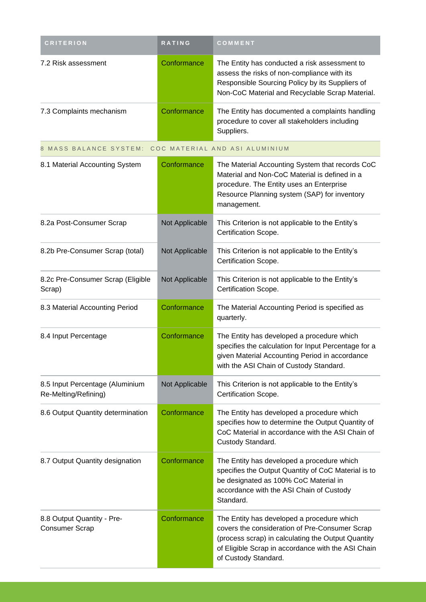| <b>CRITERION</b>                                        | <b>RATING</b>  | COMMENT                                                                                                                                                                                                                          |
|---------------------------------------------------------|----------------|----------------------------------------------------------------------------------------------------------------------------------------------------------------------------------------------------------------------------------|
| 7.2 Risk assessment                                     | Conformance    | The Entity has conducted a risk assessment to<br>assess the risks of non-compliance with its<br>Responsible Sourcing Policy by its Suppliers of<br>Non-CoC Material and Recyclable Scrap Material.                               |
| 7.3 Complaints mechanism                                | Conformance    | The Entity has documented a complaints handling<br>procedure to cover all stakeholders including<br>Suppliers.                                                                                                                   |
| 8 MASS BALANCE SYSTEM:                                  |                | COC MATERIAL AND ASI ALUMINIUM                                                                                                                                                                                                   |
| 8.1 Material Accounting System                          | Conformance    | The Material Accounting System that records CoC<br>Material and Non-CoC Material is defined in a<br>procedure. The Entity uses an Enterprise<br>Resource Planning system (SAP) for inventory<br>management.                      |
| 8.2a Post-Consumer Scrap                                | Not Applicable | This Criterion is not applicable to the Entity's<br>Certification Scope.                                                                                                                                                         |
| 8.2b Pre-Consumer Scrap (total)                         | Not Applicable | This Criterion is not applicable to the Entity's<br>Certification Scope.                                                                                                                                                         |
| 8.2c Pre-Consumer Scrap (Eligible<br>Scrap)             | Not Applicable | This Criterion is not applicable to the Entity's<br>Certification Scope.                                                                                                                                                         |
| 8.3 Material Accounting Period                          | Conformance    | The Material Accounting Period is specified as<br>quarterly.                                                                                                                                                                     |
| 8.4 Input Percentage                                    | Conformance    | The Entity has developed a procedure which<br>specifies the calculation for Input Percentage for a<br>given Material Accounting Period in accordance<br>with the ASI Chain of Custody Standard.                                  |
| 8.5 Input Percentage (Aluminium<br>Re-Melting/Refining) | Not Applicable | This Criterion is not applicable to the Entity's<br>Certification Scope.                                                                                                                                                         |
| 8.6 Output Quantity determination                       | Conformance    | The Entity has developed a procedure which<br>specifies how to determine the Output Quantity of<br>CoC Material in accordance with the ASI Chain of<br>Custody Standard.                                                         |
| 8.7 Output Quantity designation                         | Conformance    | The Entity has developed a procedure which<br>specifies the Output Quantity of CoC Material is to<br>be designated as 100% CoC Material in<br>accordance with the ASI Chain of Custody<br>Standard.                              |
| 8.8 Output Quantity - Pre-<br><b>Consumer Scrap</b>     | Conformance    | The Entity has developed a procedure which<br>covers the consideration of Pre-Consumer Scrap<br>(process scrap) in calculating the Output Quantity<br>of Eligible Scrap in accordance with the ASI Chain<br>of Custody Standard. |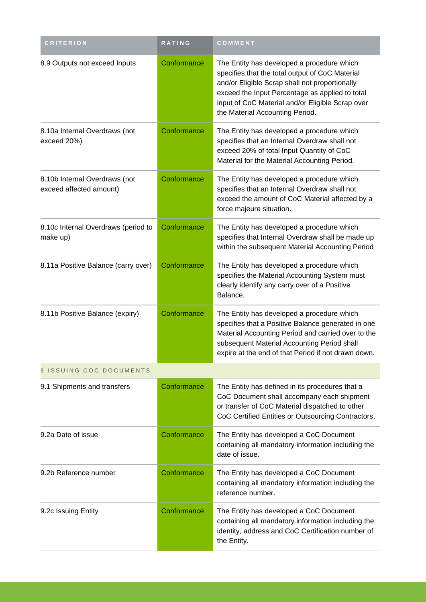| <b>CRITERION</b>                                         | <b>RATING</b> | COMMENT                                                                                                                                                                                                                                                                                   |  |  |  |
|----------------------------------------------------------|---------------|-------------------------------------------------------------------------------------------------------------------------------------------------------------------------------------------------------------------------------------------------------------------------------------------|--|--|--|
| 8.9 Outputs not exceed Inputs                            | Conformance   | The Entity has developed a procedure which<br>specifies that the total output of CoC Material<br>and/or Eligible Scrap shall not proportionally<br>exceed the Input Percentage as applied to total<br>input of CoC Material and/or Eligible Scrap over<br>the Material Accounting Period. |  |  |  |
| 8.10a Internal Overdraws (not<br>exceed 20%)             | Conformance   | The Entity has developed a procedure which<br>specifies that an Internal Overdraw shall not<br>exceed 20% of total Input Quantity of CoC<br>Material for the Material Accounting Period.                                                                                                  |  |  |  |
| 8.10b Internal Overdraws (not<br>exceed affected amount) | Conformance   | The Entity has developed a procedure which<br>specifies that an Internal Overdraw shall not<br>exceed the amount of CoC Material affected by a<br>force majeure situation.                                                                                                                |  |  |  |
| 8.10c Internal Overdraws (period to<br>make up)          | Conformance   | The Entity has developed a procedure which<br>specifies that Internal Overdraw shall be made up<br>within the subsequent Material Accounting Period                                                                                                                                       |  |  |  |
| 8.11a Positive Balance (carry over)                      | Conformance   | The Entity has developed a procedure which<br>specifies the Material Accounting System must<br>clearly identify any carry over of a Positive<br>Balance.                                                                                                                                  |  |  |  |
| 8.11b Positive Balance (expiry)                          | Conformance   | The Entity has developed a procedure which<br>specifies that a Positive Balance generated in one<br>Material Accounting Period and carried over to the<br>subsequent Material Accounting Period shall<br>expire at the end of that Period if not drawn down.                              |  |  |  |
| 9 ISSUING COC DOCUMENTS                                  |               |                                                                                                                                                                                                                                                                                           |  |  |  |
| 9.1 Shipments and transfers                              | Conformance   | The Entity has defined in its procedures that a<br>CoC Document shall accompany each shipment<br>or transfer of CoC Material dispatched to other<br>CoC Certified Entities or Outsourcing Contractors.                                                                                    |  |  |  |
| 9.2a Date of issue                                       | Conformance   | The Entity has developed a CoC Document<br>containing all mandatory information including the<br>date of issue.                                                                                                                                                                           |  |  |  |
| 9.2b Reference number                                    | Conformance   | The Entity has developed a CoC Document<br>containing all mandatory information including the<br>reference number.                                                                                                                                                                        |  |  |  |
| 9.2c Issuing Entity                                      | Conformance   | The Entity has developed a CoC Document<br>containing all mandatory information including the<br>identity, address and CoC Certification number of<br>the Entity.                                                                                                                         |  |  |  |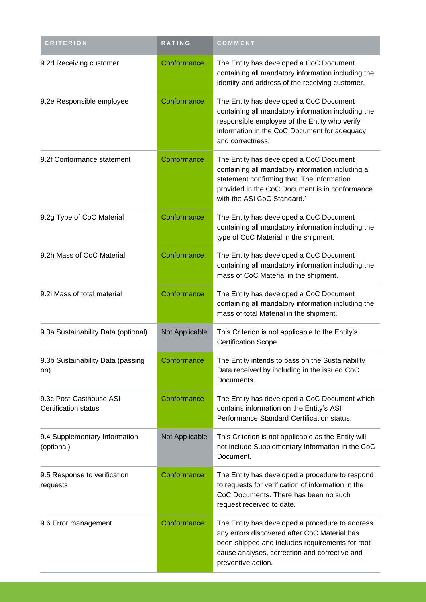| <b>CRITERION</b>                                       | <b>RATING</b>  | COMMENT                                                                                                                                                                                                                    |
|--------------------------------------------------------|----------------|----------------------------------------------------------------------------------------------------------------------------------------------------------------------------------------------------------------------------|
| 9.2d Receiving customer                                | Conformance    | The Entity has developed a CoC Document<br>containing all mandatory information including the<br>identity and address of the receiving customer.                                                                           |
| 9.2e Responsible employee                              | Conformance    | The Entity has developed a CoC Document<br>containing all mandatory information including the<br>responsible employee of the Entity who verify<br>information in the CoC Document for adequacy<br>and correctness.         |
| 9.2f Conformance statement                             | Conformance    | The Entity has developed a CoC Document<br>containing all mandatory information including a<br>statement confirming that 'The information<br>provided in the CoC Document is in conformance<br>with the ASI CoC Standard.' |
| 9.2g Type of CoC Material                              | Conformance    | The Entity has developed a CoC Document<br>containing all mandatory information including the<br>type of CoC Material in the shipment.                                                                                     |
| 9.2h Mass of CoC Material                              | Conformance    | The Entity has developed a CoC Document<br>containing all mandatory information including the<br>mass of CoC Material in the shipment.                                                                                     |
| 9.2i Mass of total material                            | Conformance    | The Entity has developed a CoC Document<br>containing all mandatory information including the<br>mass of total Material in the shipment.                                                                                   |
| 9.3a Sustainability Data (optional)                    | Not Applicable | This Criterion is not applicable to the Entity's<br>Certification Scope.                                                                                                                                                   |
| 9.3b Sustainability Data (passing<br>on)               | Conformance    | The Entity intends to pass on the Sustainability<br>Data received by including in the issued CoC<br>Documents.                                                                                                             |
| 9.3c Post-Casthouse ASI<br><b>Certification status</b> | Conformance    | The Entity has developed a CoC Document which<br>contains information on the Entity's ASI<br>Performance Standard Certification status.                                                                                    |
| 9.4 Supplementary Information<br>(optional)            | Not Applicable | This Criterion is not applicable as the Entity will<br>not include Supplementary Information in the CoC<br>Document.                                                                                                       |
| 9.5 Response to verification<br>requests               | Conformance    | The Entity has developed a procedure to respond<br>to requests for verification of information in the<br>CoC Documents. There has been no such<br>request received to date.                                                |
| 9.6 Error management                                   | Conformance    | The Entity has developed a procedure to address<br>any errors discovered after CoC Material has<br>been shipped and includes requirements for root<br>cause analyses, correction and corrective and<br>preventive action.  |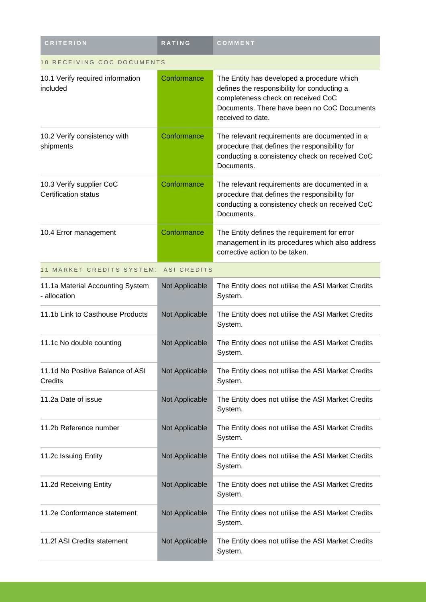| <b>CRITERION</b>                                        | <b>RATING</b>      | COMMENT                                                                                                                                                                                             |
|---------------------------------------------------------|--------------------|-----------------------------------------------------------------------------------------------------------------------------------------------------------------------------------------------------|
| 10 RECEIVING COC DOCUMENTS                              |                    |                                                                                                                                                                                                     |
| 10.1 Verify required information<br>included            | Conformance        | The Entity has developed a procedure which<br>defines the responsibility for conducting a<br>completeness check on received CoC<br>Documents. There have been no CoC Documents<br>received to date. |
| 10.2 Verify consistency with<br>shipments               | Conformance        | The relevant requirements are documented in a<br>procedure that defines the responsibility for<br>conducting a consistency check on received CoC<br>Documents.                                      |
| 10.3 Verify supplier CoC<br><b>Certification status</b> | Conformance        | The relevant requirements are documented in a<br>procedure that defines the responsibility for<br>conducting a consistency check on received CoC<br>Documents.                                      |
| 10.4 Error management                                   | Conformance        | The Entity defines the requirement for error<br>management in its procedures which also address<br>corrective action to be taken.                                                                   |
| 11 MARKET CREDITS SYSTEM:                               | <b>ASI CREDITS</b> |                                                                                                                                                                                                     |
| 11.1a Material Accounting System<br>- allocation        | Not Applicable     | The Entity does not utilise the ASI Market Credits<br>System.                                                                                                                                       |
| 11.1b Link to Casthouse Products                        | Not Applicable     | The Entity does not utilise the ASI Market Credits<br>System.                                                                                                                                       |
| 11.1c No double counting                                | Not Applicable     | The Entity does not utilise the ASI Market Credits<br>System.                                                                                                                                       |
| 11.1d No Positive Balance of ASI<br>Credits             | Not Applicable     | The Entity does not utilise the ASI Market Credits<br>System.                                                                                                                                       |
| 11.2a Date of issue                                     | Not Applicable     | The Entity does not utilise the ASI Market Credits<br>System.                                                                                                                                       |
| 11.2b Reference number                                  | Not Applicable     | The Entity does not utilise the ASI Market Credits<br>System.                                                                                                                                       |
| 11.2c Issuing Entity                                    | Not Applicable     | The Entity does not utilise the ASI Market Credits<br>System.                                                                                                                                       |
| 11.2d Receiving Entity                                  | Not Applicable     | The Entity does not utilise the ASI Market Credits<br>System.                                                                                                                                       |
| 11.2e Conformance statement                             | Not Applicable     | The Entity does not utilise the ASI Market Credits<br>System.                                                                                                                                       |
| 11.2f ASI Credits statement                             | Not Applicable     | The Entity does not utilise the ASI Market Credits<br>System.                                                                                                                                       |